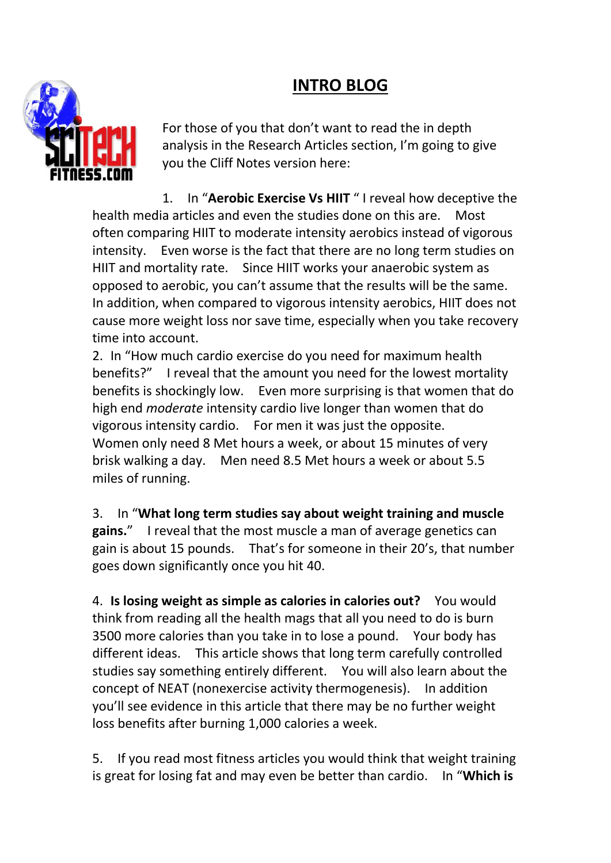## **INTRO BLOG**



For those of you that don't want to read the in depth analysis in the Research Articles section, I'm going to give you the Cliff Notes version here:

1. In "**Aerobic Exercise Vs HIIT** " I reveal how deceptive the health media articles and even the studies done on this are. Most often comparing HIIT to moderate intensity aerobics instead of vigorous intensity. Even worse is the fact that there are no long term studies on HIIT and mortality rate. Since HIIT works your anaerobic system as opposed to aerobic, you can't assume that the results will be the same. In addition, when compared to vigorous intensity aerobics, HIIT does not cause more weight loss nor save time, especially when you take recovery time into account.

2. In "How much cardio exercise do you need for maximum health benefits?" I reveal that the amount you need for the lowest mortality benefits is shockingly low. Even more surprising is that women that do high end *moderate* intensity cardio live longer than women that do vigorous intensity cardio. For men it was just the opposite. Women only need 8 Met hours a week, or about 15 minutes of very brisk walking a day. Men need 8.5 Met hours a week or about 5.5 miles of running.

3. In "**What long term studies say about weight training and muscle gains.**" I reveal that the most muscle a man of average genetics can gain is about 15 pounds. That's for someone in their 20's, that number goes down significantly once you hit 40.

4. **Is losing weight as simple as calories in calories out?** You would think from reading all the health mags that all you need to do is burn 3500 more calories than you take in to lose a pound. Your body has different ideas. This article shows that long term carefully controlled studies say something entirely different. You will also learn about the concept of NEAT (nonexercise activity thermogenesis). In addition you'll see evidence in this article that there may be no further weight loss benefits after burning 1,000 calories a week.

5. If you read most fitness articles you would think that weight training is great for losing fat and may even be better than cardio. In "**Which is**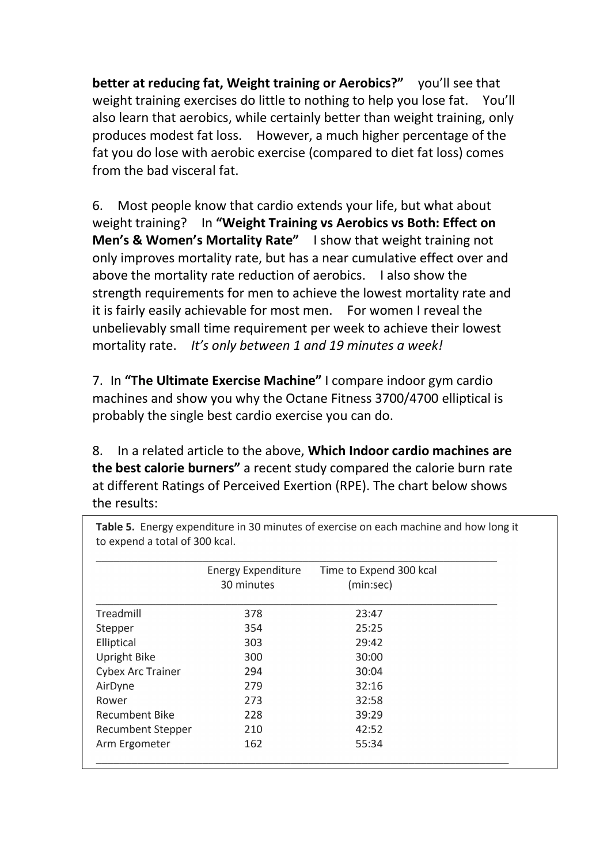**better at reducing fat, Weight training or Aerobics?"** you'll see that weight training exercises do little to nothing to help you lose fat. You'll also learn that aerobics, while certainly better than weight training, only produces modest fat loss. However, a much higher percentage of the fat you do lose with aerobic exercise (compared to diet fat loss) comes from the bad visceral fat.

6. Most people know that cardio extends your life, but what about weight training? In **"Weight Training vs Aerobics vs Both: Effect on Men's & Women's Mortality Rate"** I show that weight training not only improves mortality rate, but has a near cumulative effect over and above the mortality rate reduction of aerobics. I also show the strength requirements for men to achieve the lowest mortality rate and it is fairly easily achievable for most men. For women I reveal the unbelievably small time requirement per week to achieve their lowest mortality rate. *It's only between 1 and 19 minutes a week!*

7. In **"The Ultimate Exercise Machine"** I compare indoor gym cardio machines and show you why the Octane Fitness 3700/4700 elliptical is probably the single best cardio exercise you can do.

8. In a related article to the above, **Which Indoor cardio machines are the best calorie burners"** a recent study compared the calorie burn rate at different Ratings of Perceived Exertion (RPE). The chart below shows the results:

|                          | <b>Energy Expenditure</b><br>30 minutes | Time to Expend 300 kcal<br>(min:sec) |  |
|--------------------------|-----------------------------------------|--------------------------------------|--|
|                          |                                         |                                      |  |
| Treadmill                | 378                                     | 23:47                                |  |
| Stepper                  | 354                                     | 25:25                                |  |
| Elliptical               | 303                                     | 29:42                                |  |
| <b>Upright Bike</b>      | 300                                     | 30:00                                |  |
| <b>Cybex Arc Trainer</b> | 294                                     | 30:04                                |  |
| AirDyne                  | 279                                     | 32:16                                |  |
| Rower                    | 273                                     | 32:58                                |  |
| <b>Recumbent Bike</b>    | 228                                     | 39:29                                |  |
| <b>Recumbent Stepper</b> | 210                                     | 42:52                                |  |
| Arm Ergometer            | 162                                     | 55:34                                |  |

Table 5. Energy expenditure in 30 minutes of exercise on each machine and how long it to expend a total of 300 kcal.